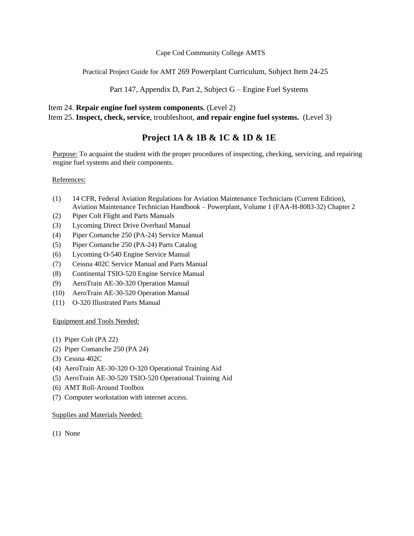# Cape Cod Community College AMTS

Practical Project Guide for AMT 269 Powerplant Curriculum, Subject Item 24-25

Part 147, Appendix D, Part 2, Subject G – Engine Fuel Systems

# Item 24. **Repair engine fuel system components.** (Level 2)

Item 25. **Inspect, check, service**, troubleshoot, **and repair engine fuel systems.** (Level 3)

# **Project 1A & 1B & 1C & 1D & 1E**

Purpose: To acquaint the student with the proper procedures of inspecting, checking, servicing, and repairing engine fuel systems and their components.

# References:

- (1) 14 CFR, Federal Aviation Regulations for Aviation Maintenance Technicians (Current Edition), Aviation Maintenance Technician Handbook – Powerplant, Volume 1 (FAA-H-8083-32) Chapter 2
- (2) Piper Colt Flight and Parts Manuals
- (3) Lycoming Direct Drive Overhaul Manual
- (4) Piper Comanche 250 (PA-24) Service Manual
- (5) Piper Comanche 250 (PA-24) Parts Catalog
- (6) Lycoming O-540 Engine Service Manual
- (7) Cessna 402C Service Manual and Parts Manual
- (8) Continental TSIO-520 Engine Service Manual
- (9) AeroTrain AE-30-320 Operation Manual
- (10) AeroTrain AE-30-520 Operation Manual
- (11) O-320 Illustrated Parts Manual

# Equipment and Tools Needed:

- (1) Piper Colt (PA 22)
- (2) Piper Comanche 250 (PA 24)
- (3) Cessna 402C
- (4) AeroTrain AE-30-320 O-320 Operational Training Aid
- (5) AeroTrain AE-30-520 TSIO-520 Operational Training Aid
- (6) AMT Roll-Around Toolbox
- (7) Computer workstation with internet access.

# Supplies and Materials Needed:

(1) None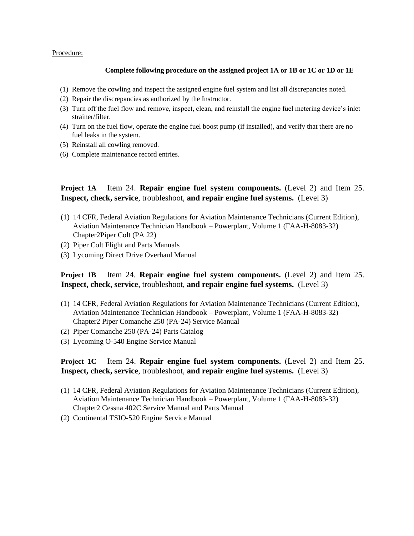#### Procedure:

#### **Complete following procedure on the assigned project 1A or 1B or 1C or 1D or 1E**

- (1) Remove the cowling and inspect the assigned engine fuel system and list all discrepancies noted.
- (2) Repair the discrepancies as authorized by the Instructor.
- (3) Turn off the fuel flow and remove, inspect, clean, and reinstall the engine fuel metering device's inlet strainer/filter.
- (4) Turn on the fuel flow, operate the engine fuel boost pump (if installed), and verify that there are no fuel leaks in the system.
- (5) Reinstall all cowling removed.
- (6) Complete maintenance record entries.

**Project 1A** Item 24. **Repair engine fuel system components.** (Level 2) and Item 25. **Inspect, check, service**, troubleshoot, **and repair engine fuel systems.** (Level 3)

- (1) 14 CFR, Federal Aviation Regulations for Aviation Maintenance Technicians (Current Edition), Aviation Maintenance Technician Handbook – Powerplant, Volume 1 (FAA-H-8083-32) Chapter2Piper Colt (PA 22)
- (2) Piper Colt Flight and Parts Manuals
- (3) Lycoming Direct Drive Overhaul Manual

# **Project 1B** Item 24. **Repair engine fuel system components.** (Level 2) and Item 25. **Inspect, check, service**, troubleshoot, **and repair engine fuel systems.** (Level 3)

- (1) 14 CFR, Federal Aviation Regulations for Aviation Maintenance Technicians (Current Edition), Aviation Maintenance Technician Handbook – Powerplant, Volume 1 (FAA-H-8083-32) Chapter2 Piper Comanche 250 (PA-24) Service Manual
- (2) Piper Comanche 250 (PA-24) Parts Catalog
- (3) Lycoming O-540 Engine Service Manual

# **Project 1C** Item 24. **Repair engine fuel system components.** (Level 2) and Item 25. **Inspect, check, service**, troubleshoot, **and repair engine fuel systems.** (Level 3)

- (1) 14 CFR, Federal Aviation Regulations for Aviation Maintenance Technicians (Current Edition), Aviation Maintenance Technician Handbook – Powerplant, Volume 1 (FAA-H-8083-32) Chapter2 Cessna 402C Service Manual and Parts Manual
- (2) Continental TSIO-520 Engine Service Manual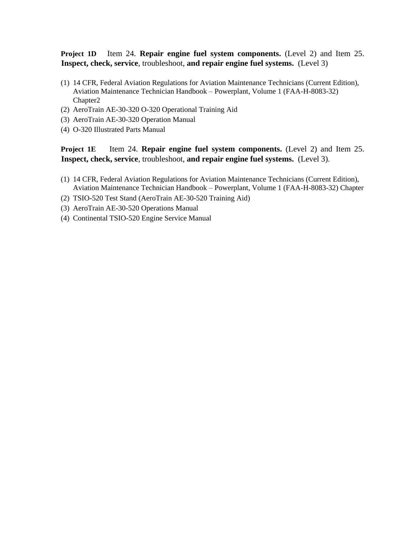**Project 1D** Item 24. **Repair engine fuel system components.** (Level 2) and Item 25. **Inspect, check, service**, troubleshoot, **and repair engine fuel systems.** (Level 3)

- (1) 14 CFR, Federal Aviation Regulations for Aviation Maintenance Technicians (Current Edition), Aviation Maintenance Technician Handbook – Powerplant, Volume 1 (FAA-H-8083-32) Chapter2
- (2) AeroTrain AE-30-320 O-320 Operational Training Aid
- (3) AeroTrain AE-30-320 Operation Manual
- (4) O-320 Illustrated Parts Manual

**Project 1E** Item 24. **Repair engine fuel system components.** (Level 2) and Item 25. **Inspect, check, service**, troubleshoot, **and repair engine fuel systems.** (Level 3).

- (1) 14 CFR, Federal Aviation Regulations for Aviation Maintenance Technicians (Current Edition), Aviation Maintenance Technician Handbook – Powerplant, Volume 1 (FAA-H-8083-32) Chapter
- (2) TSIO-520 Test Stand (AeroTrain AE-30-520 Training Aid)
- (3) AeroTrain AE-30-520 Operations Manual
- (4) Continental TSIO-520 Engine Service Manual